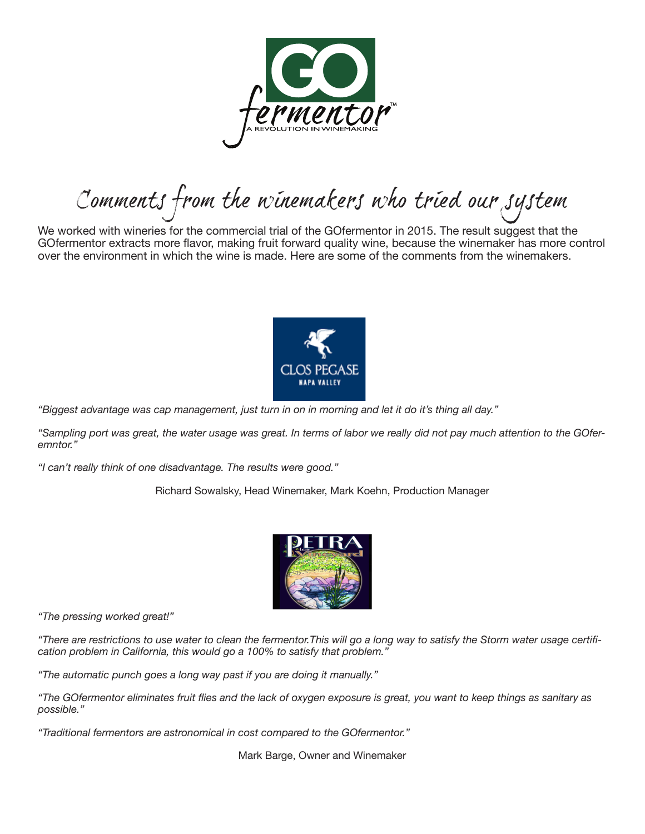

Comments from the winemakers who tried our system

We worked with wineries for the commercial trial of the GOfermentor in 2015. The result suggest that the GOfermentor extracts more flavor, making fruit forward quality wine, because the winemaker has more control over the environment in which the wine is made. Here are some of the comments from the winemakers.



*"Biggest advantage was cap management, just turn in on in morning and let it do it's thing all day."*

*"Sampling port was great, the water usage was great. In terms of labor we really did not pay much attention to the GOferemntor."*

*"I can't really think of one disadvantage. The results were good."*

Richard Sowalsky, Head Winemaker, Mark Koehn, Production Manager



*"The pressing worked great!"*

*"There are restrictions to use water to clean the fermentor.This will go a long way to satisfy the Storm water usage certification problem in California, this would go a 100% to satisfy that problem."*

*"The automatic punch goes a long way past if you are doing it manually."*

*"The GOfermentor eliminates fruit flies and the lack of oxygen exposure is great, you want to keep things as sanitary as possible."*

*"Traditional fermentors are astronomical in cost compared to the GOfermentor."*

Mark Barge, Owner and Winemaker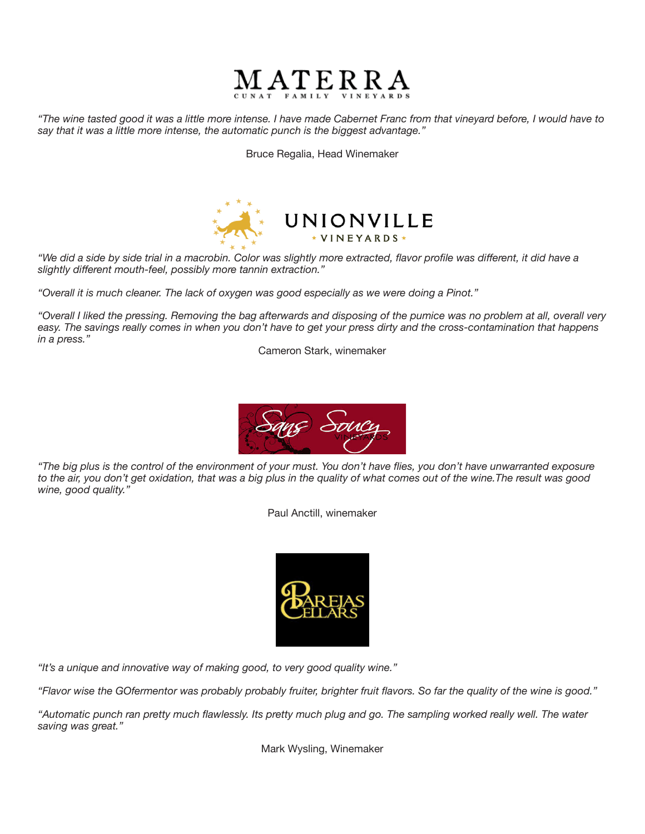

*"The wine tasted good it was a little more intense. I have made Cabernet Franc from that vineyard before, I would have to say that it was a little more intense, the automatic punch is the biggest advantage."*

Bruce Regalia, Head Winemaker



*"We did a side by side trial in a macrobin. Color was slightly more extracted, flavor profile was different, it did have a slightly different mouth-feel, possibly more tannin extraction."*

*"Overall it is much cleaner. The lack of oxygen was good especially as we were doing a Pinot."*

*"Overall I liked the pressing. Removing the bag afterwards and disposing of the pumice was no problem at all, overall very easy. The savings really comes in when you don't have to get your press dirty and the cross-contamination that happens in a press."*

Cameron Stark, winemaker



*"The big plus is the control of the environment of your must. You don't have flies, you don't have unwarranted exposure to the air, you don't get oxidation, that was a big plus in the quality of what comes out of the wine.The result was good wine, good quality."*

Paul Anctill, winemaker



*"It's a unique and innovative way of making good, to very good quality wine."*

*"Flavor wise the GOfermentor was probably probably fruiter, brighter fruit flavors. So far the quality of the wine is good."*

*"Automatic punch ran pretty much flawlessly. Its pretty much plug and go. The sampling worked really well. The water saving was great."*

Mark Wysling, Winemaker